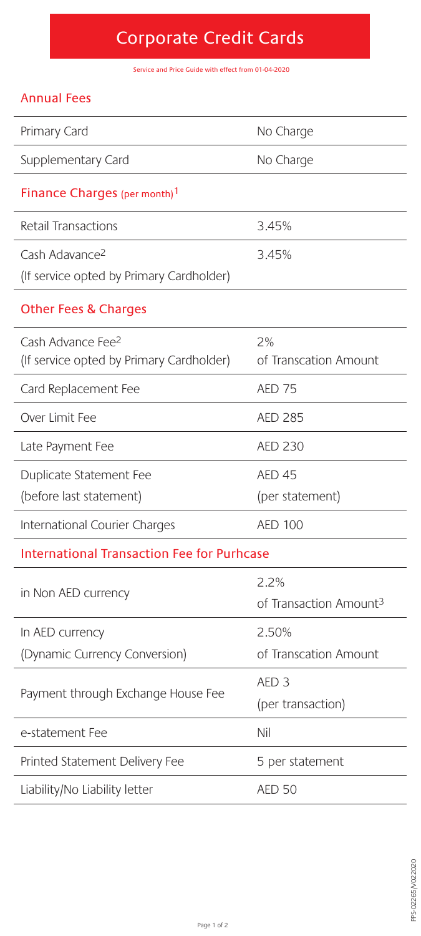# Corporate Credit Cards

Service and Price Guide with effect from 01-04-2020

### Annual Fees

| Primary Card                                                              | No Charge                                 |
|---------------------------------------------------------------------------|-------------------------------------------|
| Supplementary Card                                                        | No Charge                                 |
| Finance Charges (per month) <sup>1</sup>                                  |                                           |
| Retail Transactions                                                       | 3.45%                                     |
| Cash Adavance <sup>2</sup><br>(If service opted by Primary Cardholder)    | 3.45%                                     |
| <b>Other Fees &amp; Charges</b>                                           |                                           |
| Cash Advance Fee <sup>2</sup><br>(If service opted by Primary Cardholder) | 2%<br>of Transcation Amount               |
| Card Replacement Fee                                                      | <b>AED 75</b>                             |
| Over Limit Fee                                                            | <b>AED 285</b>                            |
| Late Payment Fee                                                          | AED 230                                   |
| Duplicate Statement Fee                                                   | <b>AED 45</b>                             |
| (before last statement)                                                   | (per statement)                           |
| International Courier Charges                                             | <b>AED 100</b>                            |
| <b>International Transaction Fee for Purhcase</b>                         |                                           |
| in Non AED currency                                                       | 22%<br>of Transaction Amount <sup>3</sup> |
| In AED currency                                                           | 2.50%                                     |
| (Dynamic Currency Conversion)                                             | of Transcation Amount                     |
| Payment through Exchange House Fee                                        | AED <sub>3</sub><br>(per transaction)     |
| e-statement Fee                                                           | Nil                                       |
| Printed Statement Delivery Fee                                            | 5 per statement                           |
| Liability/No Liability letter                                             | <b>AED 50</b>                             |